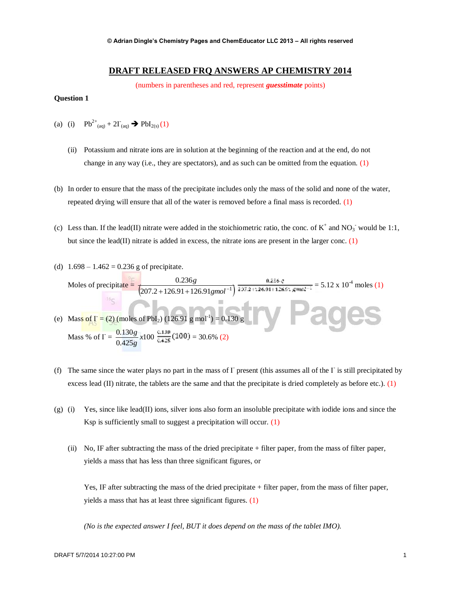# **DRAFT RELEASED FRQ ANSWERS AP CHEMISTRY 2014**

(numbers in parentheses and red, represent *guesstimate* points)

#### **Question 1**

- (a) (i)  $Pb^{2+}{}_{(aq)} + 2\Gamma_{(aq)} \rightarrow PbI_{2(s)}(1)$ 
	- (ii) Potassium and nitrate ions are in solution at the beginning of the reaction and at the end, do not change in any way (i.e., they are spectators), and as such can be omitted from the equation.  $(1)$
- (b) In order to ensure that the mass of the precipitate includes only the mass of the solid and none of the water, repeated drying will ensure that all of the water is removed before a final mass is recorded. (1)
- (c) Less than. If the lead(II) nitrate were added in the stoichiometric ratio, the conc. of  $K^+$  and  $NO_3^-$  would be 1:1, but since the lead(II) nitrate is added in excess, the nitrate ions are present in the larger conc.  $(1)$
- (d)  $1.698 1.462 = 0.236$  g of precipitate. Moles of precipitate =  $(207.2 + 126.91 + 126.91$ gmol<sup>-1</sup>) 0.236  $+126.91 + 126.91$  gmol<sup>-</sup> *g*  $\frac{0.256 \text{ g}}{0.258 \times 0.04 \text{ m} \cdot \text{m} \cdot \text{s}} = 5.12 \times 10^{-4} \text{ moles (1)}$ (e) Mass of  $\Gamma = (2)$  (moles of PbI<sub>2</sub>) (126.91 g mol<sup>-1</sup>) = 0.130 g Mass % of  $\Gamma = \frac{0.150g}{0.425g} x100$  $\frac{0.130g}{0.425g}x$  $\frac{g}{g}$   $x100 \frac{0.130}{0.435} (100) = 30.6\% (2)$
- (f) The same since the water plays no part in the mass of  $\Gamma$  present (this assumes all of the  $\Gamma$  is still precipitated by excess lead (II) nitrate, the tablets are the same and that the precipitate is dried completely as before etc.). (1)
- (g) (i) Yes, since like lead(II) ions, silver ions also form an insoluble precipitate with iodide ions and since the Ksp is sufficiently small to suggest a precipitation will occur. (1)
	- (ii) No, IF after subtracting the mass of the dried precipitate + filter paper, from the mass of filter paper, yields a mass that has less than three significant figures, or

Yes, IF after subtracting the mass of the dried precipitate + filter paper, from the mass of filter paper, yields a mass that has at least three significant figures. (1)

*(No is the expected answer I feel, BUT it does depend on the mass of the tablet IMO).*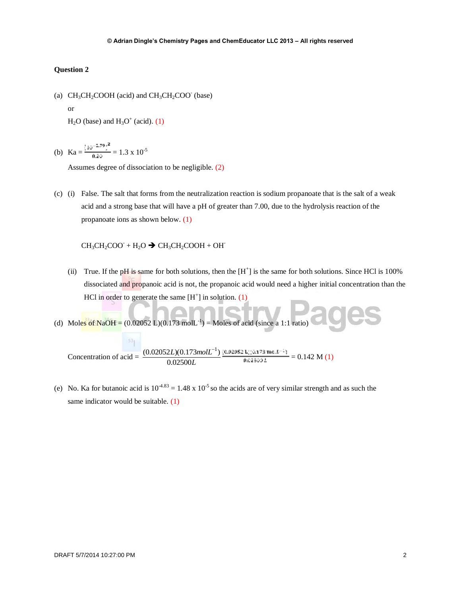(a)  $CH_3CH_2COOH$  (acid) and  $CH_3CH_2COO$ <sup>-</sup> (base)

or

 $H<sub>2</sub>O$  (base) and  $H<sub>3</sub>O<sup>+</sup>$  (acid). (1)

(b)  $Ka = \frac{(10^{-2.79})^2}{0.20} = 1.3 \times 10^{-5}$ 

Assumes degree of dissociation to be negligible. (2)

(c) (i) False. The salt that forms from the neutralization reaction is sodium propanoate that is the salt of a weak acid and a strong base that will have a pH of greater than 7.00, due to the hydrolysis reaction of the propanoate ions as shown below. (1)

 $CH_3CH_2COO + H_2O \rightarrow CH_3CH_2COOH + OH$ 

- (ii) True. If the pH is same for both solutions, then the  $[H^+]$  is the same for both solutions. Since HCl is 100% dissociated and propanoic acid is not, the propanoic acid would need a higher initial concentration than the HCl in order to generate the same  $[H^+]$  in solution. (1)
- (d) Moles of NaOH =  $(0.02052 \text{ L})(0.173 \text{ mol} \text{L}^{-1})$  = Moles of acid (since a 1:1 ratio)

Concentration of acid =  $\frac{(0.02632E)(0.175)}{0.02500L}$ *L molL* 0.02500  $(0.02052L)(0.173 mol L^{-1})$  $= 0.142 M(1)$ 

(e) No. Ka for butanoic acid is  $10^{-4.83} = 1.48 \times 10^{-5}$  so the acids are of very similar strength and as such the same indicator would be suitable. (1)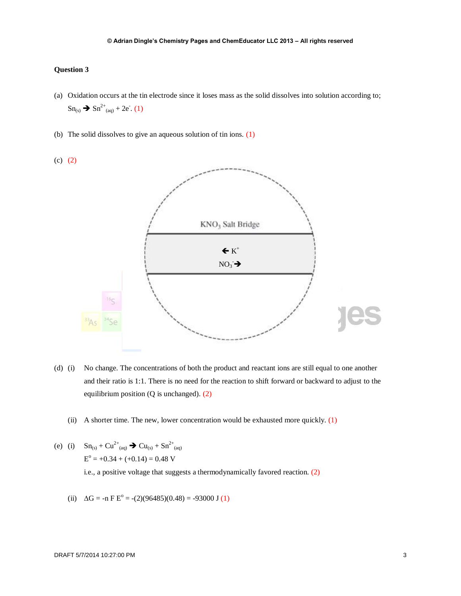- (a) Oxidation occurs at the tin electrode since it loses mass as the solid dissolves into solution according to;  $\text{Sn}_{(s)} \rightarrow \text{Sn}^{2+}_{(aq)} + 2e^-. (1)$
- (b) The solid dissolves to give an aqueous solution of tin ions. (1)



- (d) (i) No change. The concentrations of both the product and reactant ions are still equal to one another and their ratio is 1:1. There is no need for the reaction to shift forward or backward to adjust to the equilibrium position (Q is unchanged). (2)
	- (ii) A shorter time. The new, lower concentration would be exhausted more quickly.  $(1)$
- (e) (i)  $\text{Sn}_{(s)} + \text{Cu}^{2+}_{(aq)} \rightarrow \text{Cu}_{(s)} + \text{Sn}^{2+}_{(aq)}$  $E^{\circ} = +0.34 + (+0.14) = 0.48$  V i.e., a positive voltage that suggests a thermodynamically favored reaction. (2)
	- (ii)  $\Delta G = -n F E^{\circ} = -(2)(96485)(0.48) = -93000 J(1)$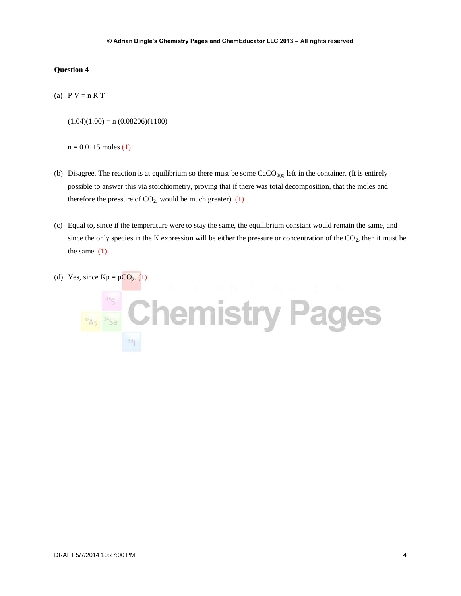(a)  $P V = n R T$ 

 $(1.04)(1.00) = n (0.08206)(1100)$ 

```
n = 0.0115 moles (1)
```
- (b) Disagree. The reaction is at equilibrium so there must be some  $CaCO<sub>3(s)</sub>$  left in the container. (It is entirely possible to answer this via stoichiometry, proving that if there was total decomposition, that the moles and therefore the pressure of  $CO<sub>2</sub>$ , would be much greater). (1)
- (c) Equal to, since if the temperature were to stay the same, the equilibrium constant would remain the same, and since the only species in the K expression will be either the pressure or concentration of the  $CO<sub>2</sub>$ , then it must be the same.  $(1)$
- (d) Yes, since  $Kp = pCO<sub>2</sub>$ . (1)

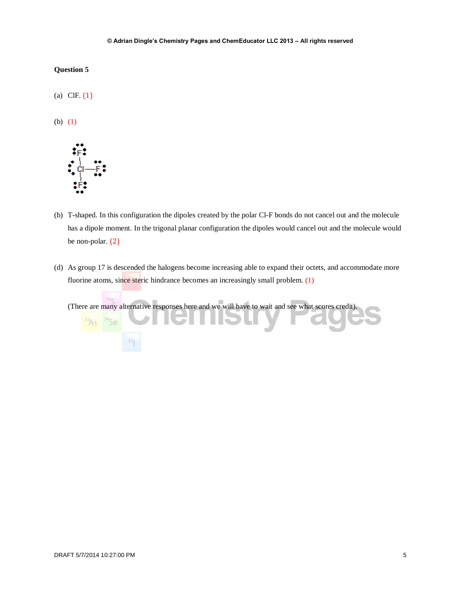(a) ClF. (1)

(b) (1)



- (b) T-shaped. In this configuration the dipoles created by the polar Cl-F bonds do not cancel out and the molecule has a dipole moment. In the trigonal planar configuration the dipoles would cancel out and the molecule would be non-polar. (2)
- (d) As group 17 is descended the halogens become increasing able to expand their octets, and accommodate more fluorine atoms, since steric hindrance becomes an increasingly small problem. (1)

(There are many alternative responses here and we will have to wait and see what scores credit).

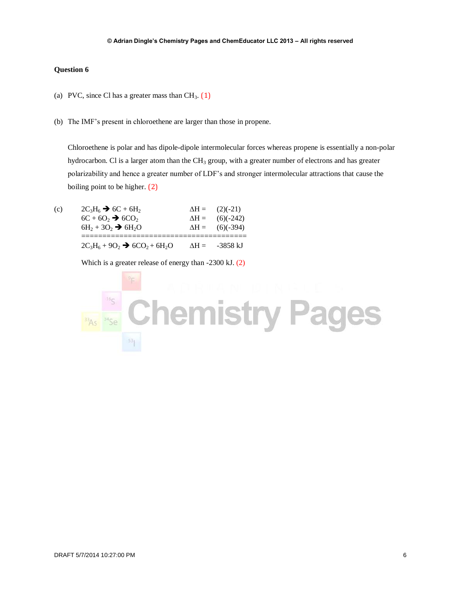- (a) PVC, since Cl has a greater mass than  $CH<sub>3</sub>$ . (1)
- (b) The IMF's present in chloroethene are larger than those in propene.

Chloroethene is polar and has dipole-dipole intermolecular forces whereas propene is essentially a non-polar hydrocarbon. Cl is a larger atom than the  $CH<sub>3</sub>$  group, with a greater number of electrons and has greater polarizability and hence a greater number of LDF's and stronger intermolecular attractions that cause the boiling point to be higher. (2)

(c)  $2C_3H_6 \rightarrow 6C + 6H_2$   $\Delta H = (2)(-21)$  $6C + 6O_2 \rightarrow 6CO_2$   $\Delta H = (6)(-242)$  $6H_2 + 3O_2 \rightarrow 6H_2O$   $\Delta H = (6)(-394)$ =======================================  $2C_3H_6 + 9O_2 \rightarrow 6CO_2 + 6H_2O$   $\Delta H = -3858 \text{ kJ}$ 

Which is a greater release of energy than -2300 kJ. (2)